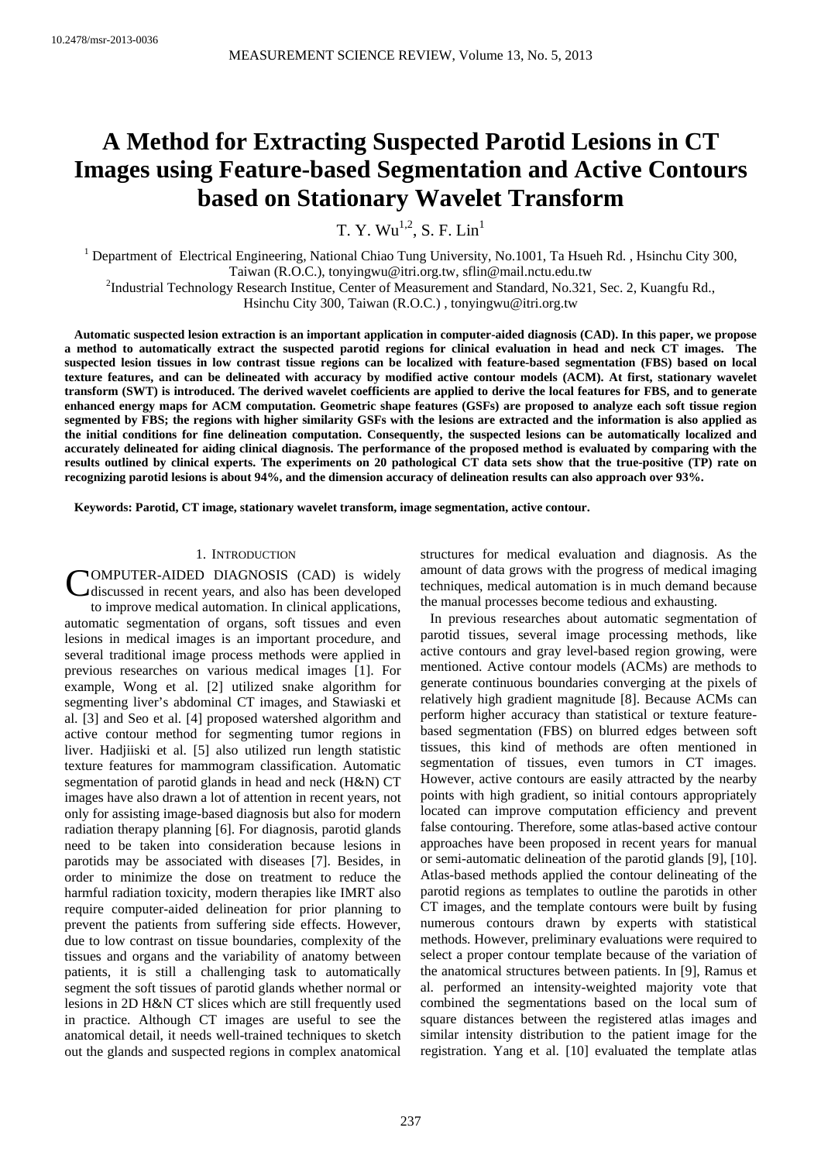# **A Method for Extracting Suspected Parotid Lesions in CT Images using Feature-based Segmentation and Active Contours based on Stationary Wavelet Transform**

T. Y.  $Wu^{1,2}$ , S. F. Lin<sup>1</sup>

<sup>1</sup> Department of Electrical Engineering, National Chiao Tung University, No.1001, Ta Hsueh Rd., Hsinchu City 300, Taiwan (R.O.C.), tonyingwu@itri.org.tw, sflin@mail.nctu.edu.tw 2

<sup>2</sup>Industrial Technology Research Institue, Center of Measurement and Standard, No.321, Sec. 2, Kuangfu Rd.,

Hsinchu City 300, Taiwan (R.O.C.) , tonyingwu@itri.org.tw

**Automatic suspected lesion extraction is an important application in computer-aided diagnosis (CAD). In this paper, we propose a method to automatically extract the suspected parotid regions for clinical evaluation in head and neck CT images. The suspected lesion tissues in low contrast tissue regions can be localized with feature-based segmentation (FBS) based on local texture features, and can be delineated with accuracy by modified active contour models (ACM). At first, stationary wavelet transform (SWT) is introduced. The derived wavelet coefficients are applied to derive the local features for FBS, and to generate enhanced energy maps for ACM computation. Geometric shape features (GSFs) are proposed to analyze each soft tissue region segmented by FBS; the regions with higher similarity GSFs with the lesions are extracted and the information is also applied as the initial conditions for fine delineation computation. Consequently, the suspected lesions can be automatically localized and accurately delineated for aiding clinical diagnosis. The performance of the proposed method is evaluated by comparing with the results outlined by clinical experts. The experiments on 20 pathological CT data sets show that the true-positive (TP) rate on recognizing parotid lesions is about 94%, and the dimension accuracy of delineation results can also approach over 93%.** 

**Keywords: Parotid, CT image, stationary wavelet transform, image segmentation, active contour.** 

# 1. INTRODUCTION

COMPUTER-AIDED DIAGNOSIS (CAD) is widely<br>discussed in recent years, and also has been developed discussed in recent years, and also has been developed to improve medical automation. In clinical applications, automatic segmentation of organs, soft tissues and even lesions in medical images is an important procedure, and several traditional image process methods were applied in previous researches on various medical images [1]. For example, Wong et al. [2] utilized snake algorithm for segmenting liver's abdominal CT images, and Stawiaski et al. [3] and Seo et al. [4] proposed watershed algorithm and active contour method for segmenting tumor regions in liver. Hadjiiski et al. [5] also utilized run length statistic texture features for mammogram classification. Automatic segmentation of parotid glands in head and neck (H&N) CT images have also drawn a lot of attention in recent years, not only for assisting image-based diagnosis but also for modern radiation therapy planning [6]. For diagnosis, parotid glands need to be taken into consideration because lesions in parotids may be associated with diseases [7]. Besides, in order to minimize the dose on treatment to reduce the harmful radiation toxicity, modern therapies like IMRT also require computer-aided delineation for prior planning to prevent the patients from suffering side effects. However, due to low contrast on tissue boundaries, complexity of the tissues and organs and the variability of anatomy between patients, it is still a challenging task to automatically segment the soft tissues of parotid glands whether normal or lesions in 2D H&N CT slices which are still frequently used in practice. Although CT images are useful to see the anatomical detail, it needs well-trained techniques to sketch out the glands and suspected regions in complex anatomical

structures for medical evaluation and diagnosis. As the amount of data grows with the progress of medical imaging techniques, medical automation is in much demand because the manual processes become tedious and exhausting.

In previous researches about automatic segmentation of parotid tissues, several image processing methods, like active contours and gray level-based region growing, were mentioned. Active contour models (ACMs) are methods to generate continuous boundaries converging at the pixels of relatively high gradient magnitude [8]. Because ACMs can perform higher accuracy than statistical or texture featurebased segmentation (FBS) on blurred edges between soft tissues, this kind of methods are often mentioned in segmentation of tissues, even tumors in CT images. However, active contours are easily attracted by the nearby points with high gradient, so initial contours appropriately located can improve computation efficiency and prevent false contouring. Therefore, some atlas-based active contour approaches have been proposed in recent years for manual or semi-automatic delineation of the parotid glands [9], [10]. Atlas-based methods applied the contour delineating of the parotid regions as templates to outline the parotids in other CT images, and the template contours were built by fusing numerous contours drawn by experts with statistical methods. However, preliminary evaluations were required to select a proper contour template because of the variation of the anatomical structures between patients. In [9], Ramus et al. performed an intensity-weighted majority vote that combined the segmentations based on the local sum of square distances between the registered atlas images and similar intensity distribution to the patient image for the registration. Yang et al. [10] evaluated the template atlas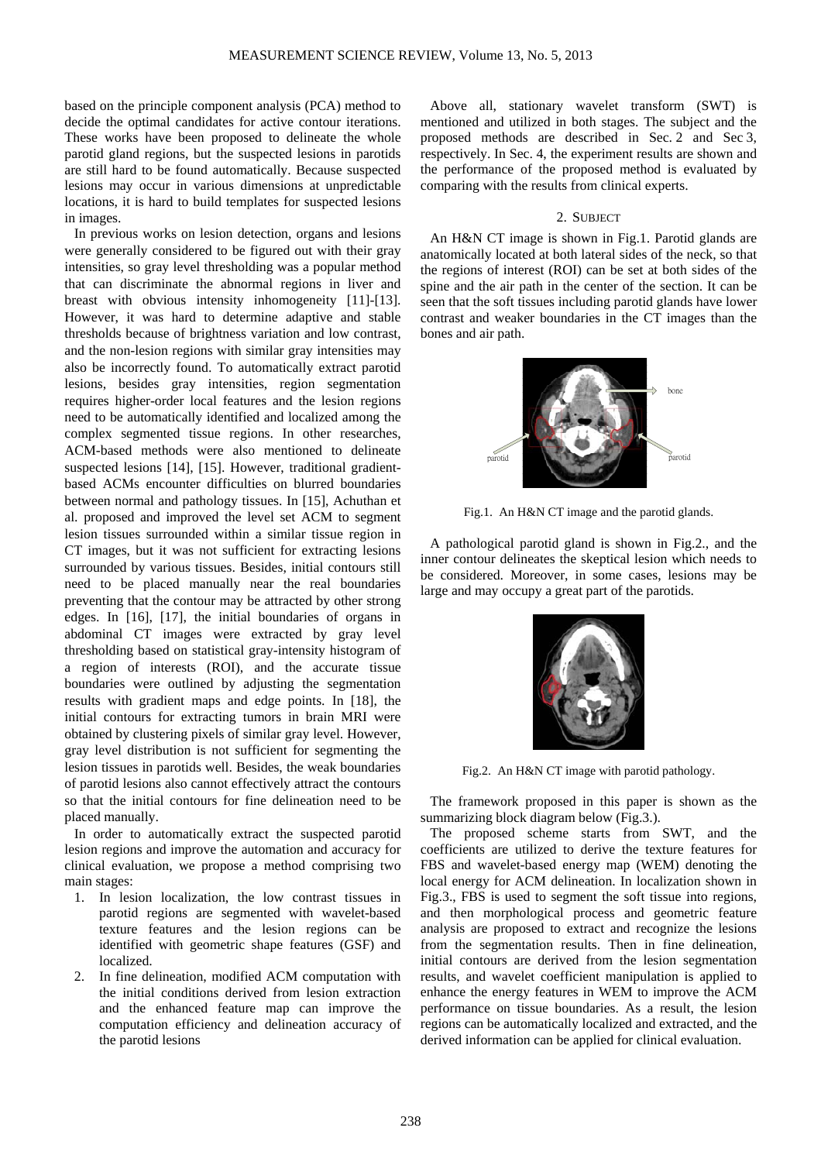based on the principle component analysis (PCA) method to decide the optimal candidates for active contour iterations. These works have been proposed to delineate the whole parotid gland regions, but the suspected lesions in parotids are still hard to be found automatically. Because suspected lesions may occur in various dimensions at unpredictable locations, it is hard to build templates for suspected lesions in images.

In previous works on lesion detection, organs and lesions were generally considered to be figured out with their gray intensities, so gray level thresholding was a popular method that can discriminate the abnormal regions in liver and breast with obvious intensity inhomogeneity [11]-[13]. However, it was hard to determine adaptive and stable thresholds because of brightness variation and low contrast, and the non-lesion regions with similar gray intensities may also be incorrectly found. To automatically extract parotid lesions, besides gray intensities, region segmentation requires higher-order local features and the lesion regions need to be automatically identified and localized among the complex segmented tissue regions. In other researches, ACM-based methods were also mentioned to delineate suspected lesions [14], [15]. However, traditional gradientbased ACMs encounter difficulties on blurred boundaries between normal and pathology tissues. In [15], Achuthan et al. proposed and improved the level set ACM to segment lesion tissues surrounded within a similar tissue region in CT images, but it was not sufficient for extracting lesions surrounded by various tissues. Besides, initial contours still need to be placed manually near the real boundaries preventing that the contour may be attracted by other strong edges. In [16], [17], the initial boundaries of organs in abdominal CT images were extracted by gray level thresholding based on statistical gray-intensity histogram of a region of interests (ROI), and the accurate tissue boundaries were outlined by adjusting the segmentation results with gradient maps and edge points. In [18], the initial contours for extracting tumors in brain MRI were obtained by clustering pixels of similar gray level. However, gray level distribution is not sufficient for segmenting the lesion tissues in parotids well. Besides, the weak boundaries of parotid lesions also cannot effectively attract the contours so that the initial contours for fine delineation need to be placed manually.

In order to automatically extract the suspected parotid lesion regions and improve the automation and accuracy for clinical evaluation, we propose a method comprising two main stages:

- 1. In lesion localization, the low contrast tissues in parotid regions are segmented with wavelet-based texture features and the lesion regions can be identified with geometric shape features (GSF) and localized.
- 2. In fine delineation, modified ACM computation with the initial conditions derived from lesion extraction and the enhanced feature map can improve the computation efficiency and delineation accuracy of the parotid lesions

Above all, stationary wavelet transform (SWT) is mentioned and utilized in both stages. The subject and the proposed methods are described in Sec. 2 and Sec 3, respectively. In Sec. 4, the experiment results are shown and the performance of the proposed method is evaluated by comparing with the results from clinical experts.

## 2. SUBJECT

An H&N CT image is shown in Fig.1. Parotid glands are anatomically located at both lateral sides of the neck, so that the regions of interest (ROI) can be set at both sides of the spine and the air path in the center of the section. It can be seen that the soft tissues including parotid glands have lower contrast and weaker boundaries in the CT images than the bones and air path.



Fig.1. An H&N CT image and the parotid glands.

A pathological parotid gland is shown in Fig.2., and the inner contour delineates the skeptical lesion which needs to be considered. Moreover, in some cases, lesions may be large and may occupy a great part of the parotids.



Fig.2. An H&N CT image with parotid pathology.

The framework proposed in this paper is shown as the summarizing block diagram below (Fig.3.).

The proposed scheme starts from SWT, and the coefficients are utilized to derive the texture features for FBS and wavelet-based energy map (WEM) denoting the local energy for ACM delineation. In localization shown in Fig.3., FBS is used to segment the soft tissue into regions, and then morphological process and geometric feature analysis are proposed to extract and recognize the lesions from the segmentation results. Then in fine delineation, initial contours are derived from the lesion segmentation results, and wavelet coefficient manipulation is applied to enhance the energy features in WEM to improve the ACM performance on tissue boundaries. As a result, the lesion regions can be automatically localized and extracted, and the derived information can be applied for clinical evaluation.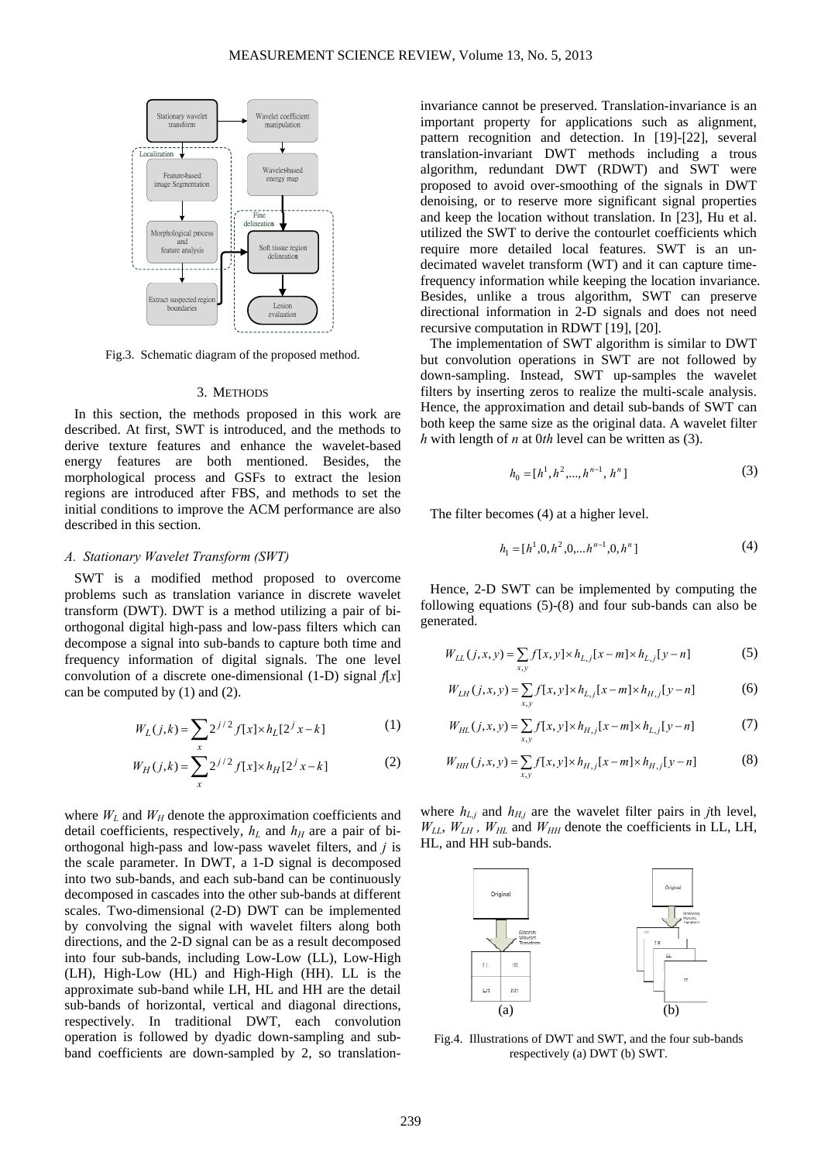

Fig.3. Schematic diagram of the proposed method.

## 3. METHODS

In this section, the methods proposed in this work are described. At first, SWT is introduced, and the methods to derive texture features and enhance the wavelet-based energy features are both mentioned. Besides, the morphological process and GSFs to extract the lesion regions are introduced after FBS, and methods to set the initial conditions to improve the ACM performance are also described in this section.

## *A. Stationary Wavelet Transform (SWT)*

SWT is a modified method proposed to overcome problems such as translation variance in discrete wavelet transform (DWT). DWT is a method utilizing a pair of biorthogonal digital high-pass and low-pass filters which can decompose a signal into sub-bands to capture both time and frequency information of digital signals. The one level convolution of a discrete one-dimensional (1-D) signal *f*[*x*] can be computed by (1) and (2).

$$
W_L(j,k) = \sum_x 2^{j/2} f[x] \times h_L[2^j x - k]
$$
 (1)

$$
W_H(j,k) = \sum_{x} 2^{j/2} f[x] \times h_H[2^j x - k]
$$
 (2)

where  $W_L$  and  $W_H$  denote the approximation coefficients and detail coefficients, respectively,  $h<sub>L</sub>$  and  $h<sub>H</sub>$  are a pair of biorthogonal high-pass and low-pass wavelet filters, and *j* is the scale parameter. In DWT, a 1-D signal is decomposed into two sub-bands, and each sub-band can be continuously decomposed in cascades into the other sub-bands at different scales. Two-dimensional (2-D) DWT can be implemented by convolving the signal with wavelet filters along both directions, and the 2-D signal can be as a result decomposed into four sub-bands, including Low-Low (LL), Low-High (LH), High-Low (HL) and High-High (HH). LL is the approximate sub-band while LH, HL and HH are the detail sub-bands of horizontal, vertical and diagonal directions, respectively. In traditional DWT, each convolution operation is followed by dyadic down-sampling and subband coefficients are down-sampled by 2, so translationinvariance cannot be preserved. Translation-invariance is an important property for applications such as alignment, pattern recognition and detection. In [19]-[22], several translation-invariant DWT methods including a trous algorithm, redundant DWT (RDWT) and SWT were proposed to avoid over-smoothing of the signals in DWT denoising, or to reserve more significant signal properties and keep the location without translation. In [23], Hu et al. utilized the SWT to derive the contourlet coefficients which require more detailed local features. SWT is an undecimated wavelet transform (WT) and it can capture timefrequency information while keeping the location invariance. Besides, unlike a trous algorithm, SWT can preserve directional information in 2-D signals and does not need recursive computation in RDWT [19], [20].

The implementation of SWT algorithm is similar to DWT but convolution operations in SWT are not followed by down-sampling. Instead, SWT up-samples the wavelet filters by inserting zeros to realize the multi-scale analysis. Hence, the approximation and detail sub-bands of SWT can both keep the same size as the original data. A wavelet filter *h* with length of *n* at 0*th* level can be written as (3).

$$
h_0 = [h^1, h^2, \dots, h^{n-1}, h^n]
$$
 (3)

The filter becomes (4) at a higher level.

$$
h_1 = [h^1, 0, h^2, 0, \dots, h^{n-1}, 0, h^n]
$$
 (4)

Hence, 2-D SWT can be implemented by computing the following equations (5)-(8) and four sub-bands can also be generated.

$$
W_{LL}(j, x, y) = \sum_{x, y} f[x, y] \times h_{L, j}[x - m] \times h_{L, j}[y - n]
$$
(5)

$$
W_{LH}(j, x, y) = \sum_{x, y} f[x, y] \times h_{L,j}[x - m] \times h_{H,j}[y - n]
$$
 (6)

$$
W_{HL}(j, x, y) = \sum_{x, y} f[x, y] \times h_{H, j}[x - m] \times h_{L, j}[y - n]
$$
 (7)

$$
W_{HH}(j, x, y) = \sum_{x, y} f[x, y] \times h_{H, j}[x - m] \times h_{H, j}[y - n]
$$
(8)

where  $h_{L,j}$  and  $h_{H,j}$  are the wavelet filter pairs in *j*th level,  $W_{LL}$ ,  $W_{L}$ ,  $W_{HI}$  and  $W_{HH}$  denote the coefficients in LL, LH, HL, and HH sub-bands.



Fig.4. Illustrations of DWT and SWT, and the four sub-bands respectively (a) DWT (b) SWT.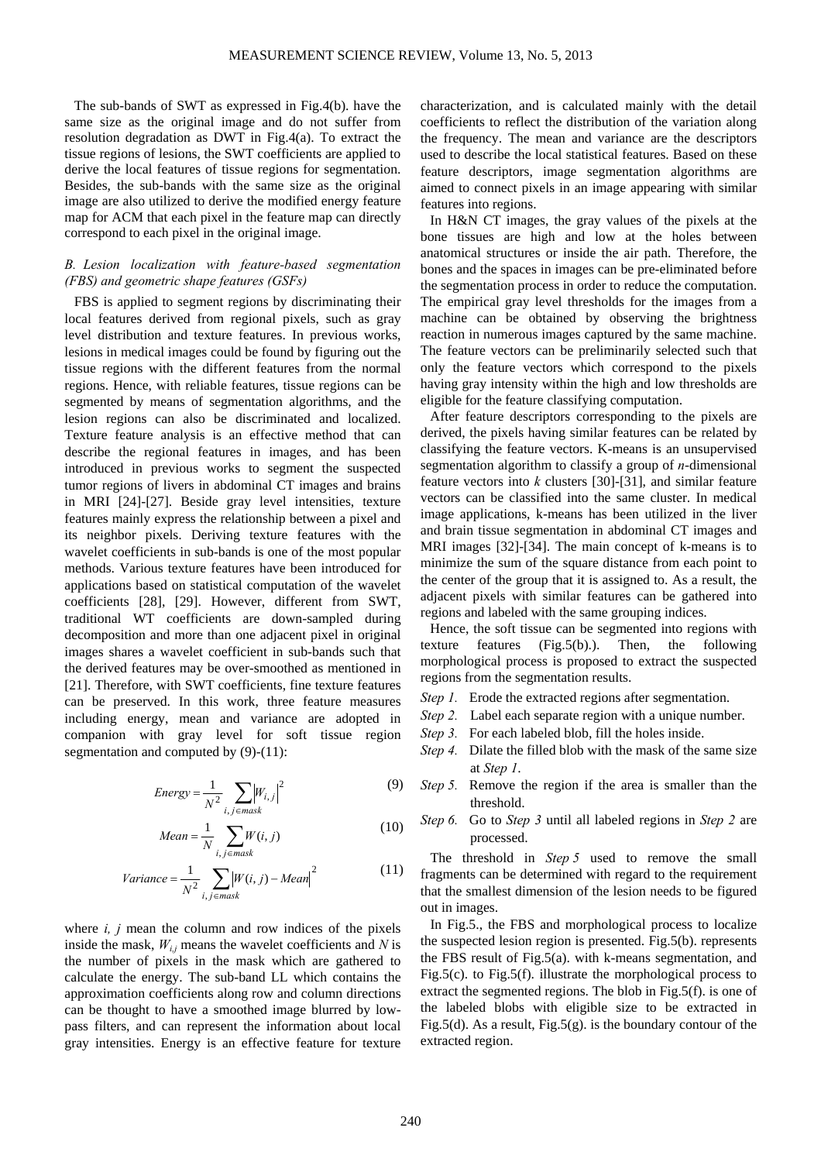The sub-bands of SWT as expressed in Fig.4(b). have the same size as the original image and do not suffer from resolution degradation as DWT in Fig.4(a). To extract the tissue regions of lesions, the SWT coefficients are applied to derive the local features of tissue regions for segmentation. Besides, the sub-bands with the same size as the original image are also utilized to derive the modified energy feature map for ACM that each pixel in the feature map can directly correspond to each pixel in the original image.

# *B. Lesion localization with feature-based segmentation (FBS) and geometric shape features (GSFs)*

FBS is applied to segment regions by discriminating their local features derived from regional pixels, such as gray level distribution and texture features. In previous works, lesions in medical images could be found by figuring out the tissue regions with the different features from the normal regions. Hence, with reliable features, tissue regions can be segmented by means of segmentation algorithms, and the lesion regions can also be discriminated and localized. Texture feature analysis is an effective method that can describe the regional features in images, and has been introduced in previous works to segment the suspected tumor regions of livers in abdominal CT images and brains in MRI [24]-[27]. Beside gray level intensities, texture features mainly express the relationship between a pixel and its neighbor pixels. Deriving texture features with the wavelet coefficients in sub-bands is one of the most popular methods. Various texture features have been introduced for applications based on statistical computation of the wavelet coefficients [28], [29]. However, different from SWT, traditional WT coefficients are down-sampled during decomposition and more than one adjacent pixel in original images shares a wavelet coefficient in sub-bands such that the derived features may be over-smoothed as mentioned in [21]. Therefore, with SWT coefficients, fine texture features can be preserved. In this work, three feature measures including energy, mean and variance are adopted in companion with gray level for soft tissue region segmentation and computed by (9)-(11):

Energy = 
$$
\frac{1}{N^2} \sum_{i,j \in mask} |W_{i,j}|^2
$$
 (9)

$$
Mean = \frac{1}{N} \sum_{i,j \in mask} W(i,j)
$$
 (10)

$$
Variance = \frac{1}{N^2} \sum_{i,j \in mask} \left| W(i,j) - Mean \right|^2 \tag{11}
$$

where *i, j* mean the column and row indices of the pixels inside the mask,  $W_{i,j}$  means the wavelet coefficients and N is the number of pixels in the mask which are gathered to calculate the energy. The sub-band LL which contains the approximation coefficients along row and column directions can be thought to have a smoothed image blurred by lowpass filters, and can represent the information about local gray intensities. Energy is an effective feature for texture characterization, and is calculated mainly with the detail coefficients to reflect the distribution of the variation along the frequency. The mean and variance are the descriptors used to describe the local statistical features. Based on these feature descriptors, image segmentation algorithms are aimed to connect pixels in an image appearing with similar features into regions.

In H&N CT images, the gray values of the pixels at the bone tissues are high and low at the holes between anatomical structures or inside the air path. Therefore, the bones and the spaces in images can be pre-eliminated before the segmentation process in order to reduce the computation. The empirical gray level thresholds for the images from a machine can be obtained by observing the brightness reaction in numerous images captured by the same machine. The feature vectors can be preliminarily selected such that only the feature vectors which correspond to the pixels having gray intensity within the high and low thresholds are eligible for the feature classifying computation.

After feature descriptors corresponding to the pixels are derived, the pixels having similar features can be related by classifying the feature vectors. K-means is an unsupervised segmentation algorithm to classify a group of *n*-dimensional feature vectors into *k* clusters [30]-[31], and similar feature vectors can be classified into the same cluster. In medical image applications, k-means has been utilized in the liver and brain tissue segmentation in abdominal CT images and MRI images [32]-[34]. The main concept of k-means is to minimize the sum of the square distance from each point to the center of the group that it is assigned to. As a result, the adjacent pixels with similar features can be gathered into regions and labeled with the same grouping indices.

Hence, the soft tissue can be segmented into regions with texture features (Fig.5(b).). Then, the following morphological process is proposed to extract the suspected regions from the segmentation results.

- *Step 1.* Erode the extracted regions after segmentation.
- *Step 2.* Label each separate region with a unique number.
- *Step 3.* For each labeled blob, fill the holes inside.
- *Step 4.* Dilate the filled blob with the mask of the same size at *Step 1*.
- *Step 5.* Remove the region if the area is smaller than the threshold.
- *Step 6.* Go to *Step 3* until all labeled regions in *Step 2* are processed.

The threshold in *Step 5* used to remove the small fragments can be determined with regard to the requirement that the smallest dimension of the lesion needs to be figured out in images.

In Fig.5., the FBS and morphological process to localize the suspected lesion region is presented. Fig.5(b). represents the FBS result of Fig.5(a). with k-means segmentation, and Fig.5(c). to Fig.5(f). illustrate the morphological process to extract the segmented regions. The blob in Fig.5(f). is one of the labeled blobs with eligible size to be extracted in Fig.5(d). As a result, Fig.5(g). is the boundary contour of the extracted region.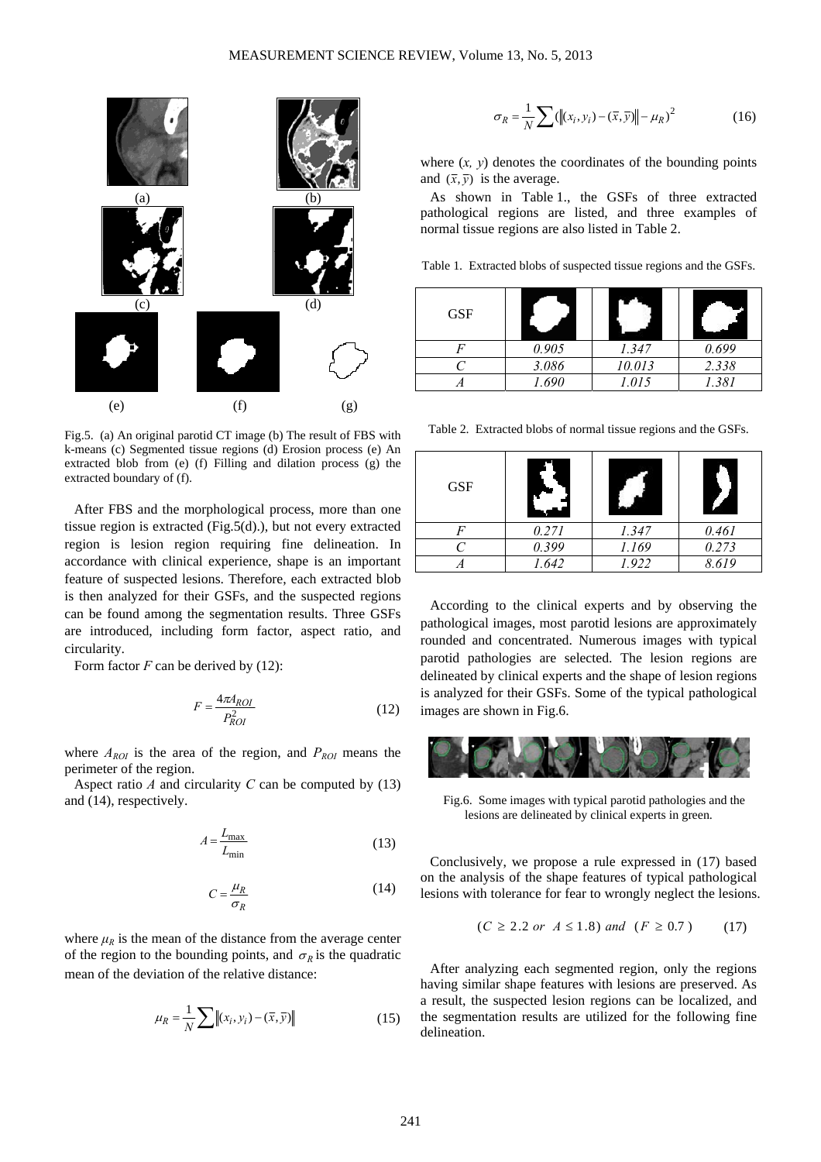

Fig.5. (a) An original parotid CT image (b) The result of FBS with k-means (c) Segmented tissue regions (d) Erosion process (e) An extracted blob from (e) (f) Filling and dilation process (g) the extracted boundary of (f).

After FBS and the morphological process, more than one tissue region is extracted (Fig.5(d).), but not every extracted region is lesion region requiring fine delineation. In accordance with clinical experience, shape is an important feature of suspected lesions. Therefore, each extracted blob is then analyzed for their GSFs, and the suspected regions can be found among the segmentation results. Three GSFs are introduced, including form factor, aspect ratio, and circularity.

Form factor *F* can be derived by (12):

$$
F = \frac{4\pi A_{ROI}}{P_{ROI}^2}
$$
 (12)

where  $A_{ROI}$  is the area of the region, and  $P_{ROI}$  means the perimeter of the region.

Aspect ratio *A* and circularity *C* can be computed by (13) and (14), respectively.

$$
A = \frac{L_{\text{max}}}{L_{\text{min}}} \tag{13}
$$

$$
C = \frac{\mu_R}{\sigma_R} \tag{14}
$$

where  $\mu_R$  is the mean of the distance from the average center of the region to the bounding points, and  $\sigma_R$  is the quadratic mean of the deviation of the relative distance:

$$
\mu_R = \frac{1}{N} \sum \left\| (x_i, y_i) - (\overline{x}, \overline{y}) \right\| \tag{15}
$$

$$
\sigma_R = \frac{1}{N} \sum \left( \left\| (x_i, y_i) - (\overline{x}, \overline{y}) \right\| - \mu_R \right)^2 \tag{16}
$$

where  $(x, y)$  denotes the coordinates of the bounding points and  $(\bar{x}, \bar{y})$  is the average.

As shown in Table 1., the GSFs of three extracted pathological regions are listed, and three examples of normal tissue regions are also listed in Table 2.

Table 1. Extracted blobs of suspected tissue regions and the GSFs.

| <b>GSF</b> |       |        |       |
|------------|-------|--------|-------|
|            | 0.905 | 1.347  | 0.699 |
|            | 3.086 | 10.013 | 2.338 |
|            | 1.690 | 1.015  | 1.381 |

Table 2. Extracted blobs of normal tissue regions and the GSFs.

| <b>GSF</b> |       |       |       |
|------------|-------|-------|-------|
|            | 0.271 | 1.347 | 0.461 |
|            | 0.399 | 1.169 | 0.273 |
|            | 1.642 | 1.922 | 8.619 |

According to the clinical experts and by observing the pathological images, most parotid lesions are approximately rounded and concentrated. Numerous images with typical parotid pathologies are selected. The lesion regions are delineated by clinical experts and the shape of lesion regions is analyzed for their GSFs. Some of the typical pathological images are shown in Fig.6.



Fig.6. Some images with typical parotid pathologies and the lesions are delineated by clinical experts in green.

Conclusively, we propose a rule expressed in (17) based on the analysis of the shape features of typical pathological lesions with tolerance for fear to wrongly neglect the lesions.

$$
(C \ge 2.2 \text{ or } A \le 1.8) \text{ and } (F \ge 0.7) \tag{17}
$$

After analyzing each segmented region, only the regions having similar shape features with lesions are preserved. As a result, the suspected lesion regions can be localized, and the segmentation results are utilized for the following fine delineation.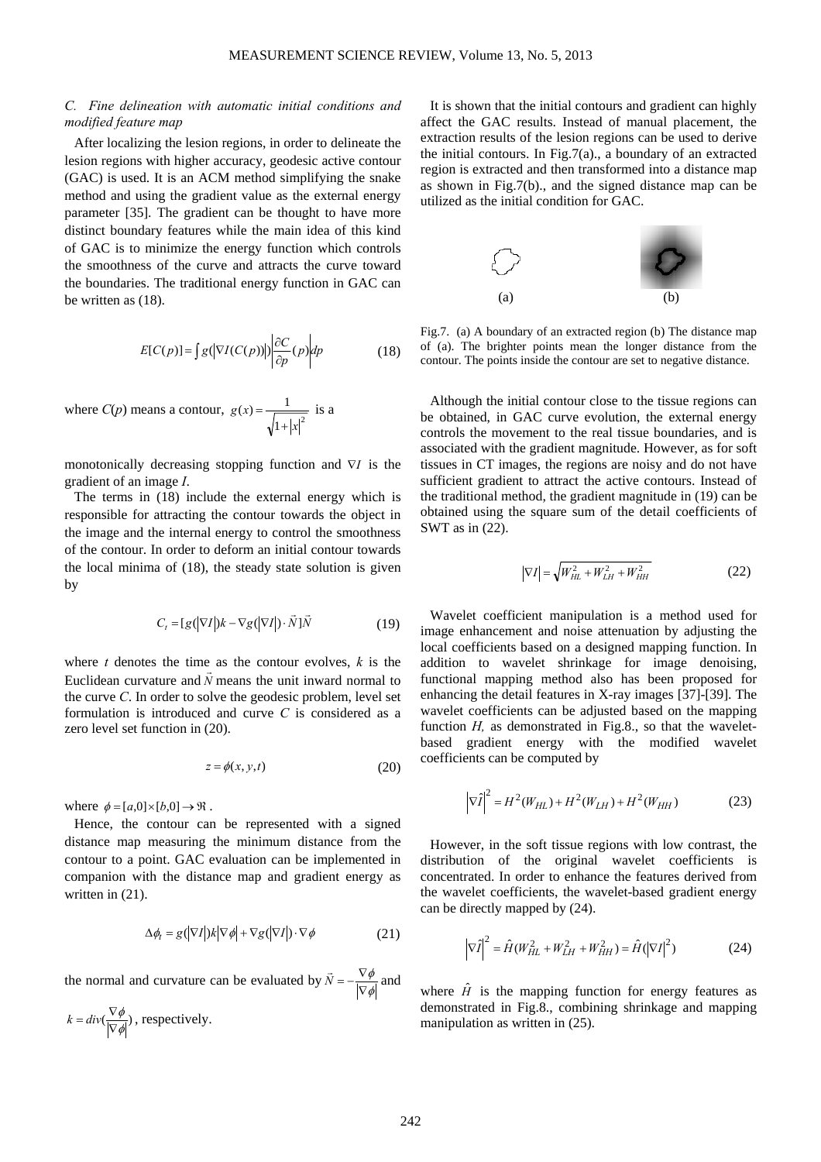## *C. Fine delineation with automatic initial conditions and modified feature map*

After localizing the lesion regions, in order to delineate the lesion regions with higher accuracy, geodesic active contour (GAC) is used. It is an ACM method simplifying the snake method and using the gradient value as the external energy parameter [35]. The gradient can be thought to have more distinct boundary features while the main idea of this kind of GAC is to minimize the energy function which controls the smoothness of the curve and attracts the curve toward the boundaries. The traditional energy function in GAC can be written as (18).

$$
E[C(p)] = \int g(\left|\nabla I(C(p))\right|) \left|\frac{\partial C}{\partial p}(p)\right| dp \tag{18}
$$

where  $C(p)$  means a contour,  $g(x) = \frac{1}{\sqrt{1+|x|^2}}$ *x g x* +  $=\frac{1}{\sqrt{1-\frac{1}{x}}}\text{ is a}$ 

monotonically decreasing stopping function and ∇*I* is the gradient of an image *I*.

The terms in (18) include the external energy which is responsible for attracting the contour towards the object in the image and the internal energy to control the smoothness of the contour. In order to deform an initial contour towards the local minima of (18), the steady state solution is given by

$$
C_t = [g(|\nabla I|)k - \nabla g(|\nabla I|) \cdot \vec{N}] \vec{N}
$$
 (19)

where  $t$  denotes the time as the contour evolves,  $k$  is the Euclidean curvature and  $\overrightarrow{N}$  means the unit inward normal to the curve *C*. In order to solve the geodesic problem, level set formulation is introduced and curve *C* is considered as a zero level set function in (20).

$$
z = \phi(x, y, t) \tag{20}
$$

where  $\phi = [a,0] \times [b,0] \rightarrow \Re$ .

Hence, the contour can be represented with a signed distance map measuring the minimum distance from the contour to a point. GAC evaluation can be implemented in companion with the distance map and gradient energy as written in  $(21)$ .

$$
\Delta \phi_t = g(|\nabla I|)k|\nabla \phi| + \nabla g(|\nabla I|) \cdot \nabla \phi \tag{21}
$$

the normal and curvature can be evaluated by  $\vec{N} = -\frac{\nabla \phi}{|\nabla \phi|}$  $\vec{N} = -\frac{\nabla \phi}{|\nabla \phi|}$  and

$$
k = \text{div}(\frac{\nabla \phi}{|\nabla \phi|}),
$$
 respectively.

It is shown that the initial contours and gradient can highly affect the GAC results. Instead of manual placement, the extraction results of the lesion regions can be used to derive the initial contours. In Fig.7(a)., a boundary of an extracted region is extracted and then transformed into a distance map as shown in Fig.7(b)., and the signed distance map can be utilized as the initial condition for GAC.



Fig.7. (a) A boundary of an extracted region (b) The distance map of (a). The brighter points mean the longer distance from the contour. The points inside the contour are set to negative distance.

Although the initial contour close to the tissue regions can be obtained, in GAC curve evolution, the external energy controls the movement to the real tissue boundaries, and is associated with the gradient magnitude. However, as for soft tissues in CT images, the regions are noisy and do not have sufficient gradient to attract the active contours. Instead of the traditional method, the gradient magnitude in (19) can be obtained using the square sum of the detail coefficients of SWT as in (22).

$$
|\nabla I| = \sqrt{W_{HL}^2 + W_{LH}^2 + W_{HH}^2}
$$
 (22)

Wavelet coefficient manipulation is a method used for image enhancement and noise attenuation by adjusting the local coefficients based on a designed mapping function. In addition to wavelet shrinkage for image denoising, functional mapping method also has been proposed for enhancing the detail features in X-ray images [37]-[39]. The wavelet coefficients can be adjusted based on the mapping function *H*, as demonstrated in Fig.8., so that the waveletbased gradient energy with the modified wavelet coefficients can be computed by

$$
\left|\nabla \hat{I}\right|^2 = H^2(W_{HL}) + H^2(W_{LH}) + H^2(W_{HH})
$$
\n(23)

However, in the soft tissue regions with low contrast, the distribution of the original wavelet coefficients is concentrated. In order to enhance the features derived from the wavelet coefficients, the wavelet-based gradient energy can be directly mapped by (24).

$$
\left|\nabla \hat{I}\right|^2 = \hat{H}(W_{HL}^2 + W_{LH}^2 + W_{HH}^2) = \hat{H}(\left|\nabla I\right|^2)
$$
 (24)

where  $\hat{H}$  is the mapping function for energy features as demonstrated in Fig.8., combining shrinkage and mapping manipulation as written in (25).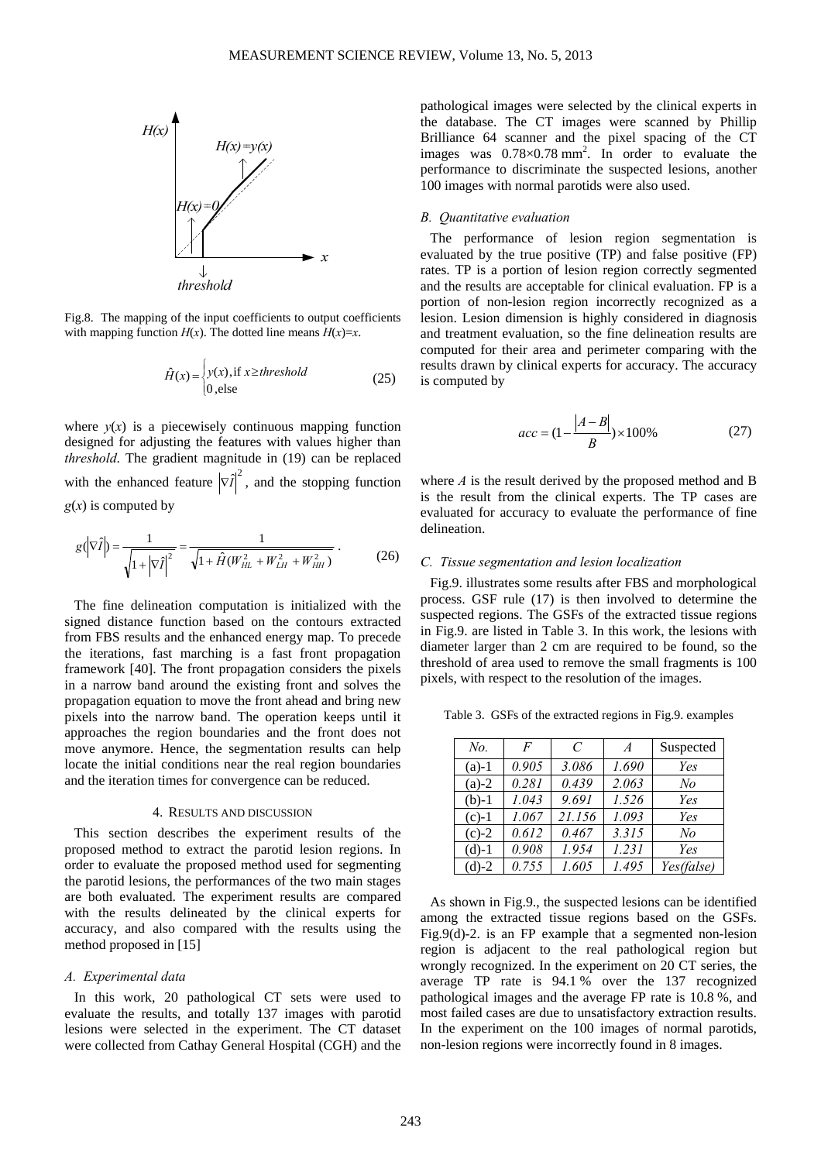

Fig.8. The mapping of the input coefficients to output coefficients with mapping function  $H(x)$ . The dotted line means  $H(x)=x$ .

$$
\hat{H}(x) = \begin{cases} y(x), & \text{if } x \geq \text{threshold} \\ 0, & \text{else} \end{cases} \tag{25}
$$

where  $y(x)$  is a piecewisely continuous mapping function designed for adjusting the features with values higher than *threshold*. The gradient magnitude in (19) can be replaced with the enhanced feature  $|\nabla \hat{i}|^2$ , and the stopping function  $g(x)$  is computed by

$$
g(\nabla \hat{I}) = \frac{1}{\sqrt{1 + |\nabla \hat{I}|^2}} = \frac{1}{\sqrt{1 + \hat{H}(W_{HL}^2 + W_{LH}^2 + W_{HH}^2)}}.
$$
 (26)

The fine delineation computation is initialized with the signed distance function based on the contours extracted from FBS results and the enhanced energy map. To precede the iterations, fast marching is a fast front propagation framework [40]. The front propagation considers the pixels in a narrow band around the existing front and solves the propagation equation to move the front ahead and bring new pixels into the narrow band. The operation keeps until it approaches the region boundaries and the front does not move anymore. Hence, the segmentation results can help locate the initial conditions near the real region boundaries and the iteration times for convergence can be reduced.

#### 4. RESULTS AND DISCUSSION

This section describes the experiment results of the proposed method to extract the parotid lesion regions. In order to evaluate the proposed method used for segmenting the parotid lesions, the performances of the two main stages are both evaluated. The experiment results are compared with the results delineated by the clinical experts for accuracy, and also compared with the results using the method proposed in [15]

#### *A. Experimental data*

In this work, 20 pathological CT sets were used to evaluate the results, and totally 137 images with parotid lesions were selected in the experiment. The CT dataset were collected from Cathay General Hospital (CGH) and the pathological images were selected by the clinical experts in the database. The CT images were scanned by Phillip Brilliance 64 scanner and the pixel spacing of the CT images was  $0.78 \times 0.78$  mm<sup>2</sup>. In order to evaluate the performance to discriminate the suspected lesions, another 100 images with normal parotids were also used.

## *B. Quantitative evaluation*

The performance of lesion region segmentation is evaluated by the true positive (TP) and false positive (FP) rates. TP is a portion of lesion region correctly segmented and the results are acceptable for clinical evaluation. FP is a portion of non-lesion region incorrectly recognized as a lesion. Lesion dimension is highly considered in diagnosis and treatment evaluation, so the fine delineation results are computed for their area and perimeter comparing with the results drawn by clinical experts for accuracy. The accuracy is computed by

$$
acc = (1 - \frac{|A - B|}{B}) \times 100\% \tag{27}
$$

where *A* is the result derived by the proposed method and B is the result from the clinical experts. The TP cases are evaluated for accuracy to evaluate the performance of fine delineation.

#### *C. Tissue segmentation and lesion localization*

Fig.9. illustrates some results after FBS and morphological process. GSF rule (17) is then involved to determine the suspected regions. The GSFs of the extracted tissue regions in Fig.9. are listed in Table 3. In this work, the lesions with diameter larger than 2 cm are required to be found, so the threshold of area used to remove the small fragments is 100 pixels, with respect to the resolution of the images.

Table 3. GSFs of the extracted regions in Fig.9. examples

| No.     | F     | $\mathcal{C}_{\mathcal{C}}$ | $\mathcal{A}$ | Suspected  |
|---------|-------|-----------------------------|---------------|------------|
| $(a)-1$ | 0.905 | 3.086                       | 1.690         | Yes        |
| $(a)-2$ | 0.281 | 0.439                       | 2.063         | No         |
| $(b)-1$ | 1.043 | 9.691                       | 1.526         | Yes        |
| $(c)-1$ | 1.067 | 21.156                      | 1.093         | Yes        |
| $(c)-2$ | 0.612 | 0.467                       | 3.315         | No         |
| $(d)-1$ | 0.908 | 1.954                       | 1.231         | Yes        |
| $(d)-2$ | 0.755 | 1.605                       | 1.495         | Yes(false) |

As shown in Fig.9., the suspected lesions can be identified among the extracted tissue regions based on the GSFs. Fig.9(d)-2. is an FP example that a segmented non-lesion region is adjacent to the real pathological region but wrongly recognized. In the experiment on 20 CT series, the average TP rate is 94.1 % over the 137 recognized pathological images and the average FP rate is 10.8 %, and most failed cases are due to unsatisfactory extraction results. In the experiment on the 100 images of normal parotids, non-lesion regions were incorrectly found in 8 images.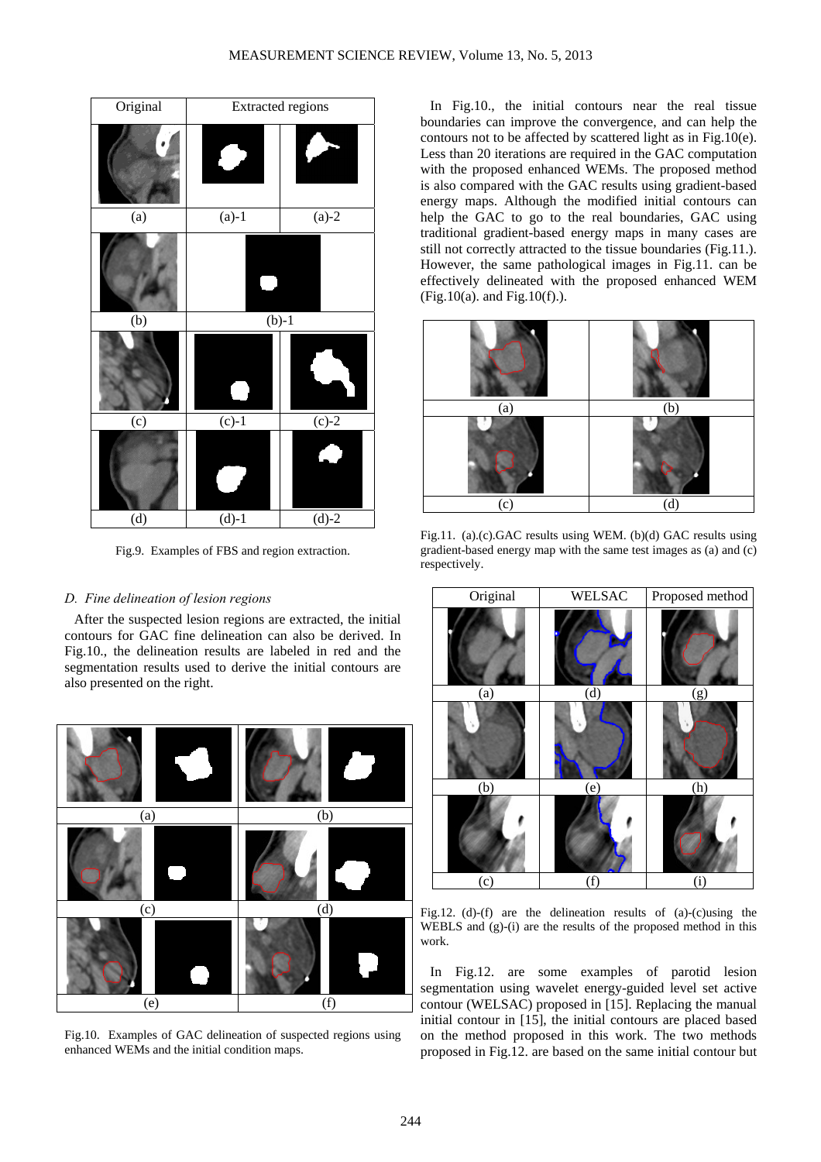

Fig.9. Examples of FBS and region extraction.

# *D. Fine delineation of lesion regions*

After the suspected lesion regions are extracted, the initial contours for GAC fine delineation can also be derived. In Fig.10., the delineation results are labeled in red and the segmentation results used to derive the initial contours are also presented on the right.



Fig.10. Examples of GAC delineation of suspected regions using enhanced WEMs and the initial condition maps.

In Fig.10., the initial contours near the real tissue boundaries can improve the convergence, and can help the contours not to be affected by scattered light as in Fig.10(e). Less than 20 iterations are required in the GAC computation with the proposed enhanced WEMs. The proposed method is also compared with the GAC results using gradient-based energy maps. Although the modified initial contours can help the GAC to go to the real boundaries, GAC using traditional gradient-based energy maps in many cases are still not correctly attracted to the tissue boundaries (Fig.11.). However, the same pathological images in Fig.11. can be effectively delineated with the proposed enhanced WEM (Fig.10(a). and Fig.10(f).).



Fig.11. (a).(c).GAC results using WEM. (b)(d) GAC results using gradient-based energy map with the same test images as (a) and (c) respectively.

| Original | WELSAC | Proposed method |
|----------|--------|-----------------|
|          |        |                 |
| (a)      | (d)    | (g)             |
|          |        |                 |
| (b)      | (e)    | (h)             |
|          |        |                 |
| (c)      | (f)    | (i)             |

Fig.12. (d)-(f) are the delineation results of (a)-(c)using the WEBLS and (g)-(i) are the results of the proposed method in this work.

In Fig.12. are some examples of parotid lesion segmentation using wavelet energy-guided level set active contour (WELSAC) proposed in [15]. Replacing the manual initial contour in [15], the initial contours are placed based on the method proposed in this work. The two methods proposed in Fig.12. are based on the same initial contour but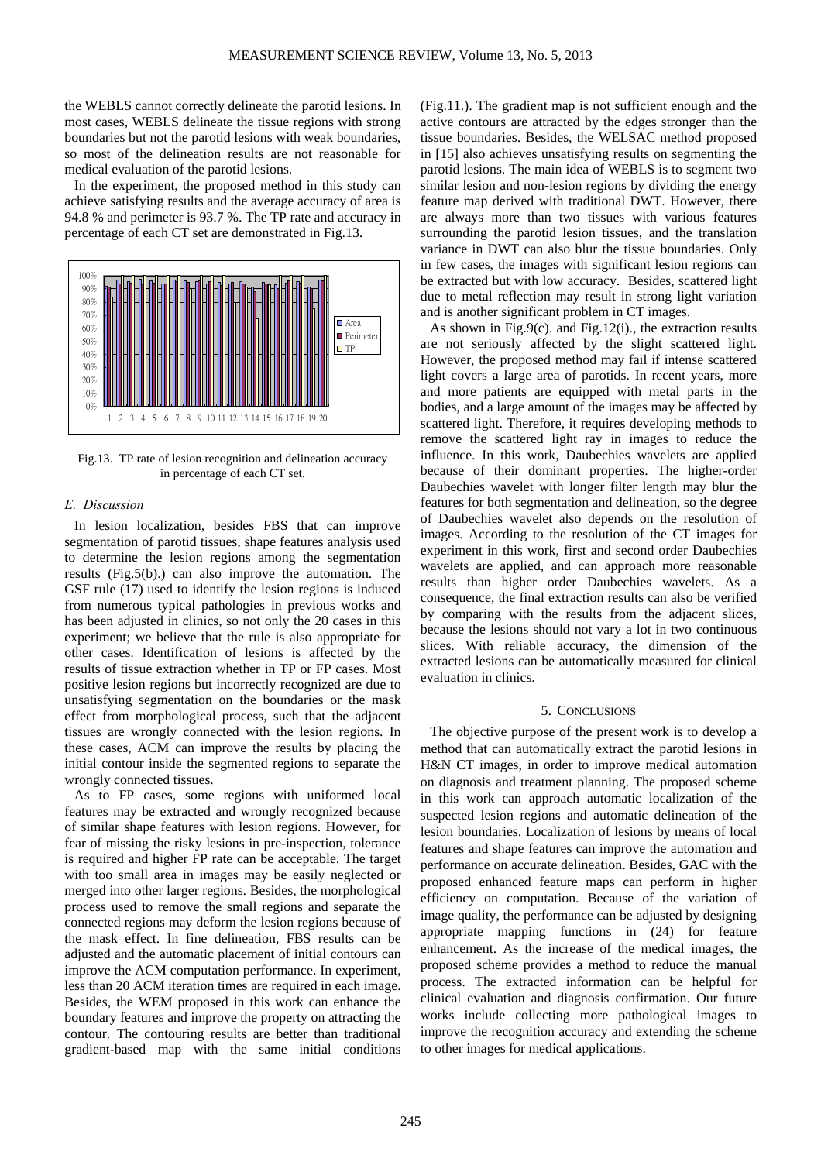the WEBLS cannot correctly delineate the parotid lesions. In most cases, WEBLS delineate the tissue regions with strong boundaries but not the parotid lesions with weak boundaries, so most of the delineation results are not reasonable for medical evaluation of the parotid lesions.

In the experiment, the proposed method in this study can achieve satisfying results and the average accuracy of area is 94.8 % and perimeter is 93.7 %. The TP rate and accuracy in percentage of each CT set are demonstrated in Fig.13.



Fig.13. TP rate of lesion recognition and delineation accuracy in percentage of each CT set.

# *E. Discussion*

In lesion localization, besides FBS that can improve segmentation of parotid tissues, shape features analysis used to determine the lesion regions among the segmentation results (Fig.5(b).) can also improve the automation. The GSF rule (17) used to identify the lesion regions is induced from numerous typical pathologies in previous works and has been adjusted in clinics, so not only the 20 cases in this experiment; we believe that the rule is also appropriate for other cases. Identification of lesions is affected by the results of tissue extraction whether in TP or FP cases. Most positive lesion regions but incorrectly recognized are due to unsatisfying segmentation on the boundaries or the mask effect from morphological process, such that the adjacent tissues are wrongly connected with the lesion regions. In these cases, ACM can improve the results by placing the initial contour inside the segmented regions to separate the wrongly connected tissues.

As to FP cases, some regions with uniformed local features may be extracted and wrongly recognized because of similar shape features with lesion regions. However, for fear of missing the risky lesions in pre-inspection, tolerance is required and higher FP rate can be acceptable. The target with too small area in images may be easily neglected or merged into other larger regions. Besides, the morphological process used to remove the small regions and separate the connected regions may deform the lesion regions because of the mask effect. In fine delineation, FBS results can be adjusted and the automatic placement of initial contours can improve the ACM computation performance. In experiment, less than 20 ACM iteration times are required in each image. Besides, the WEM proposed in this work can enhance the boundary features and improve the property on attracting the contour. The contouring results are better than traditional gradient-based map with the same initial conditions (Fig.11.). The gradient map is not sufficient enough and the active contours are attracted by the edges stronger than the tissue boundaries. Besides, the WELSAC method proposed in [15] also achieves unsatisfying results on segmenting the parotid lesions. The main idea of WEBLS is to segment two similar lesion and non-lesion regions by dividing the energy feature map derived with traditional DWT. However, there are always more than two tissues with various features surrounding the parotid lesion tissues, and the translation variance in DWT can also blur the tissue boundaries. Only in few cases, the images with significant lesion regions can be extracted but with low accuracy. Besides, scattered light due to metal reflection may result in strong light variation and is another significant problem in CT images.

As shown in Fig.9(c). and Fig.12(i)., the extraction results are not seriously affected by the slight scattered light. However, the proposed method may fail if intense scattered light covers a large area of parotids. In recent years, more and more patients are equipped with metal parts in the bodies, and a large amount of the images may be affected by scattered light. Therefore, it requires developing methods to remove the scattered light ray in images to reduce the influence. In this work, Daubechies wavelets are applied because of their dominant properties. The higher-order Daubechies wavelet with longer filter length may blur the features for both segmentation and delineation, so the degree of Daubechies wavelet also depends on the resolution of images. According to the resolution of the CT images for experiment in this work, first and second order Daubechies wavelets are applied, and can approach more reasonable results than higher order Daubechies wavelets. As a consequence, the final extraction results can also be verified by comparing with the results from the adjacent slices, because the lesions should not vary a lot in two continuous slices. With reliable accuracy, the dimension of the extracted lesions can be automatically measured for clinical evaluation in clinics.

#### 5. CONCLUSIONS

The objective purpose of the present work is to develop a method that can automatically extract the parotid lesions in H&N CT images, in order to improve medical automation on diagnosis and treatment planning. The proposed scheme in this work can approach automatic localization of the suspected lesion regions and automatic delineation of the lesion boundaries. Localization of lesions by means of local features and shape features can improve the automation and performance on accurate delineation. Besides, GAC with the proposed enhanced feature maps can perform in higher efficiency on computation. Because of the variation of image quality, the performance can be adjusted by designing appropriate mapping functions in (24) for feature enhancement. As the increase of the medical images, the proposed scheme provides a method to reduce the manual process. The extracted information can be helpful for clinical evaluation and diagnosis confirmation. Our future works include collecting more pathological images to improve the recognition accuracy and extending the scheme to other images for medical applications.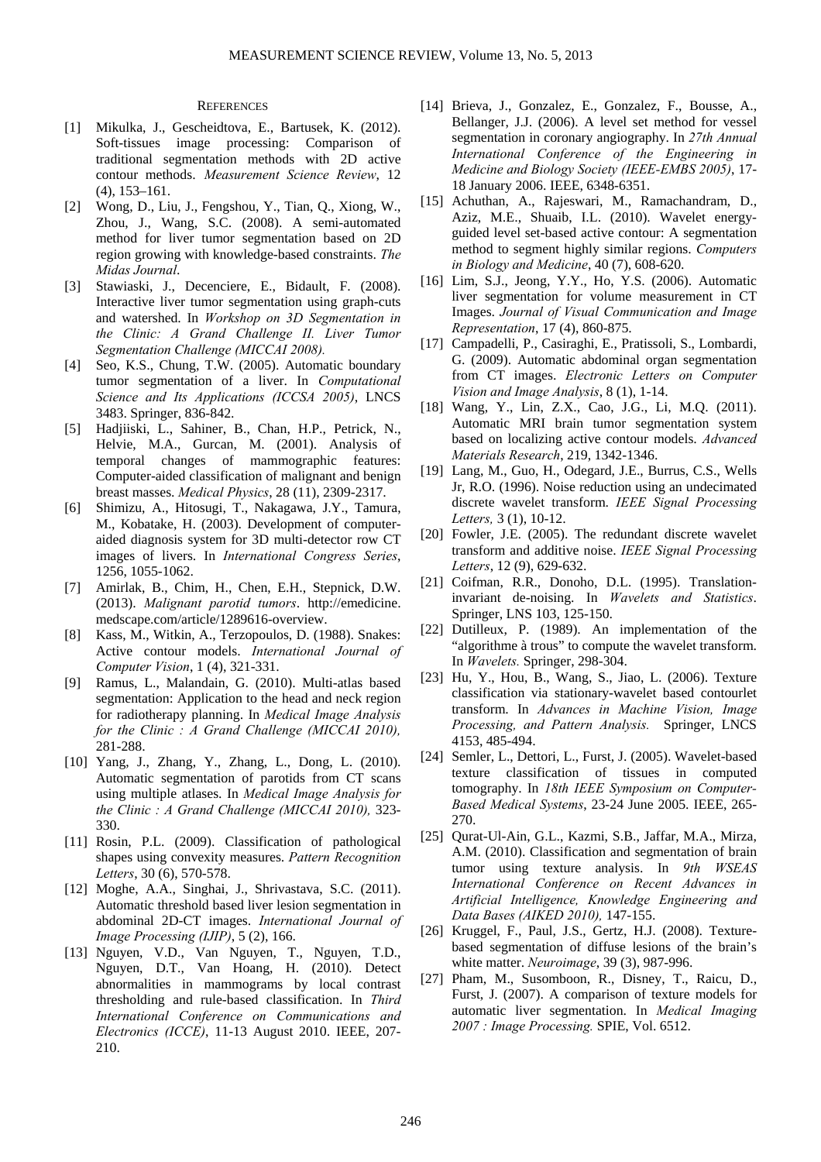## **REFERENCES**

- [1] Mikulka, J., Gescheidtova, E., Bartusek, K. (2012). Soft-tissues image processing: Comparison of traditional segmentation methods with 2D active contour methods. *Measurement Science Review*, 12 (4), 153–161.
- [2] Wong, D., Liu, J., Fengshou, Y., Tian, Q., Xiong, W., Zhou, J., Wang, S.C. (2008). A semi-automated method for liver tumor segmentation based on 2D region growing with knowledge-based constraints. *The Midas Journal*.
- [3] Stawiaski, J., Decenciere, E., Bidault, F. (2008). Interactive liver tumor segmentation using graph-cuts and watershed. In *Workshop on 3D Segmentation in the Clinic: A Grand Challenge II. Liver Tumor Segmentation Challenge (MICCAI 2008).*
- [4] Seo, K.S., Chung, T.W. (2005). Automatic boundary tumor segmentation of a liver. In *Computational Science and Its Applications (ICCSA 2005)*, LNCS 3483. Springer, 836-842.
- [5] Hadjiiski, L., Sahiner, B., Chan, H.P., Petrick, N., Helvie, M.A., Gurcan, M. (2001). Analysis of temporal changes of mammographic features: Computer-aided classification of malignant and benign breast masses. *Medical Physics*, 28 (11), 2309-2317.
- [6] Shimizu, A., Hitosugi, T., Nakagawa, J.Y., Tamura, M., Kobatake, H. (2003). Development of computeraided diagnosis system for 3D multi-detector row CT images of livers. In *International Congress Series*, 1256, 1055-1062.
- [7] Amirlak, B., Chim, H., Chen, E.H., Stepnick, D.W. (2013). *Malignant parotid tumors*. http://emedicine. medscape.com/article/1289616-overview.
- [8] Kass, M., Witkin, A., Terzopoulos, D. (1988). Snakes: Active contour models. *International Journal of Computer Vision*, 1 (4), 321-331.
- [9] Ramus, L., Malandain, G. (2010). Multi-atlas based segmentation: Application to the head and neck region for radiotherapy planning. In *Medical Image Analysis for the Clinic : A Grand Challenge (MICCAI 2010),*  281-288.
- [10] Yang, J., Zhang, Y., Zhang, L., Dong, L. (2010). Automatic segmentation of parotids from CT scans using multiple atlases. In *Medical Image Analysis for the Clinic : A Grand Challenge (MICCAI 2010),* 323- 330.
- [11] Rosin, P.L. (2009). Classification of pathological shapes using convexity measures. *Pattern Recognition Letters*, 30 (6), 570-578.
- [12] Moghe, A.A., Singhai, J., Shrivastava, S.C. (2011). Automatic threshold based liver lesion segmentation in abdominal 2D-CT images. *International Journal of Image Processing (IJIP)*, 5 (2), 166.
- [13] Nguyen, V.D., Van Nguyen, T., Nguyen, T.D., Nguyen, D.T., Van Hoang, H. (2010). Detect abnormalities in mammograms by local contrast thresholding and rule-based classification. In *Third International Conference on Communications and Electronics (ICCE)*, 11-13 August 2010. IEEE, 207- 210.
- [14] Brieva, J., Gonzalez, E., Gonzalez, F., Bousse, A., Bellanger, J.J. (2006). A level set method for vessel segmentation in coronary angiography. In *27th Annual International Conference of the Engineering in Medicine and Biology Society (IEEE-EMBS 2005)*, 17- 18 January 2006. IEEE, 6348-6351.
- [15] Achuthan, A., Rajeswari, M., Ramachandram, D., Aziz, M.E., Shuaib, I.L. (2010). Wavelet energyguided level set-based active contour: A segmentation method to segment highly similar regions. *Computers in Biology and Medicine*, 40 (7), 608-620.
- [16] Lim, S.J., Jeong, Y.Y., Ho, Y.S. (2006). Automatic liver segmentation for volume measurement in CT Images. *Journal of Visual Communication and Image Representation*, 17 (4), 860-875.
- [17] Campadelli, P., Casiraghi, E., Pratissoli, S., Lombardi, G. (2009). Automatic abdominal organ segmentation from CT images. *Electronic Letters on Computer Vision and Image Analysis*, 8 (1), 1-14.
- [18] Wang, Y., Lin, Z.X., Cao, J.G., Li, M.Q. (2011). Automatic MRI brain tumor segmentation system based on localizing active contour models. *Advanced Materials Research*, 219, 1342-1346.
- [19] Lang, M., Guo, H., Odegard, J.E., Burrus, C.S., Wells Jr, R.O. (1996). Noise reduction using an undecimated discrete wavelet transform. *IEEE Signal Processing Letters,* 3 (1), 10-12.
- [20] Fowler, J.E. (2005). The redundant discrete wavelet transform and additive noise. *IEEE Signal Processing Letters*, 12 (9), 629-632.
- [21] Coifman, R.R., Donoho, D.L. (1995). Translationinvariant de-noising. In *Wavelets and Statistics*. Springer, LNS 103, 125-150.
- [22] Dutilleux, P. (1989). An implementation of the "algorithme à trous" to compute the wavelet transform. In *Wavelets.* Springer, 298-304.
- [23] Hu, Y., Hou, B., Wang, S., Jiao, L. (2006). Texture classification via stationary-wavelet based contourlet transform. In *Advances in Machine Vision, Image Processing, and Pattern Analysis.* Springer, LNCS 4153, 485-494.
- [24] Semler, L., Dettori, L., Furst, J. (2005). Wavelet-based texture classification of tissues in computed tomography. In *18th IEEE Symposium on Computer-Based Medical Systems*, 23-24 June 2005. IEEE, 265- 270.
- [25] Qurat-Ul-Ain, G.L., Kazmi, S.B., Jaffar, M.A., Mirza, A.M. (2010). Classification and segmentation of brain tumor using texture analysis. In *9th WSEAS International Conference on Recent Advances in Artificial Intelligence, Knowledge Engineering and Data Bases (AIKED 2010),* 147-155.
- [26] Kruggel, F., Paul, J.S., Gertz, H.J. (2008). Texturebased segmentation of diffuse lesions of the brain's white matter. *Neuroimage*, 39 (3), 987-996.
- [27] Pham, M., Susomboon, R., Disney, T., Raicu, D., Furst, J. (2007). A comparison of texture models for automatic liver segmentation. In *Medical Imaging 2007 : Image Processing.* SPIE, Vol. 6512.